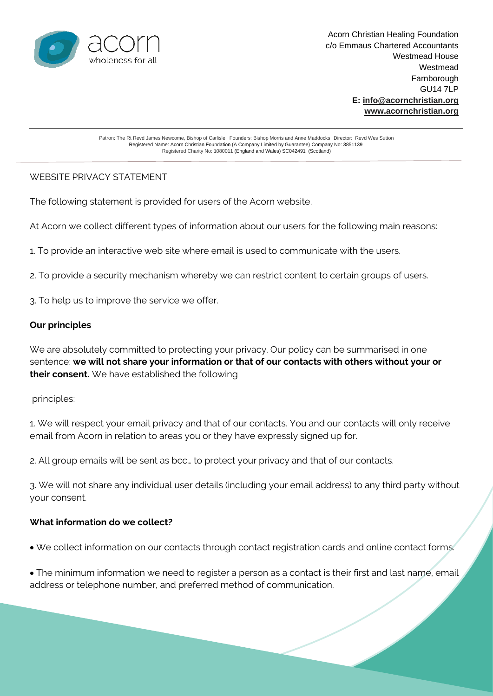

Patron: The Rt Revd James Newcome, Bishop of Carlisle Founders: Bishop Morris and Anne Maddocks Director:Revd Wes Sutton Registered Name: Acorn Christian Foundation (A Company Limited by Guarantee) Company No: 3851139 Registered Charity No: 1080011 (England and Wales) SC042491 (Scotland)

## WEBSITE PRIVACY STATEMENT

The following statement is provided for users of the Acorn website.

At Acorn we collect different types of information about our users for the following main reasons:

1. To provide an interactive web site where email is used to communicate with the users.

2. To provide a security mechanism whereby we can restrict content to certain groups of users.

3. To help us to improve the service we offer.

## **Our principles**

We are absolutely committed to protecting your privacy. Our policy can be summarised in one sentence: **we will not share your information or that of our contacts with others without your or their consent.** We have established the following

principles:

1. We will respect your email privacy and that of our contacts. You and our contacts will only receive email from Acorn in relation to areas you or they have expressly signed up for.

2. All group emails will be sent as bcc… to protect your privacy and that of our contacts.

3. We will not share any individual user details (including your email address) to any third party without your consent.

#### **What information do we collect?**

• We collect information on our contacts through contact registration cards and online contact forms.

• The minimum information we need to register a person as a contact is their first and last name, email address or telephone number, and preferred method of communication.